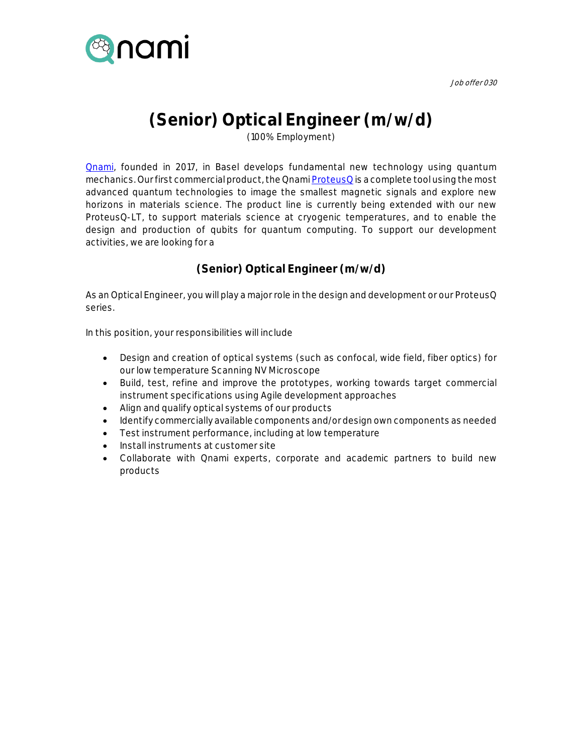

Job offer 030

## **(Senior) Optical Engineer (m/w/d)**

(100% Employment)

**Qnami**, founded in 2017, in Basel develops fundamental new technology using quantum mechanics. Our first commercial product, the Qnam[i ProteusQ](https://qnami.ch/portfolio/proteusq/) is a complete tool using the most advanced quantum technologies to image the smallest magnetic signals and explore new horizons in materials science. The product line is currently being extended with our new ProteusQ-LT, to support materials science at cryogenic temperatures, and to enable the design and production of qubits for quantum computing. To support our development activities, we are looking for a

**(Senior) Optical Engineer (m/w/d)**

As an Optical Engineer, you will play a major role in the design and development or our ProteusQ series.

In this position, your responsibilities will include

- Design and creation of optical systems (such as confocal, wide field, fiber optics) for our low temperature Scanning NV Microscope
- Build, test, refine and improve the prototypes, working towards target commercial instrument specifications using Agile development approaches
- Align and qualify optical systems of our products
- Identify commercially available components and/or design own components as needed
- Test instrument performance, including at low temperature
- Install instruments at customer site
- Collaborate with Qnami experts, corporate and academic partners to build new products